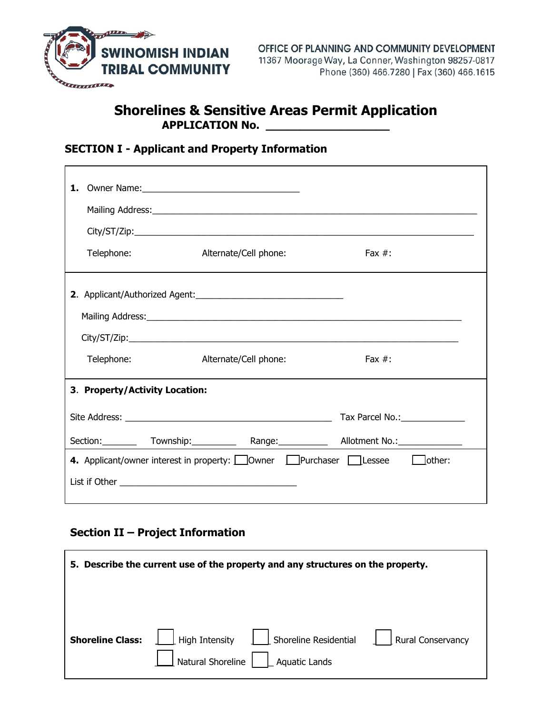

## **Shorelines & Sensitive Areas Permit Application APPLICATION No. \_\_\_\_\_\_\_\_\_\_\_\_\_\_\_\_\_\_**

## **SECTION I - Applicant and Property Information**

| Telephone:                                                                       |  | Fax $#$ :<br>Alternate/Cell phone: |                                                            |  |  |  |
|----------------------------------------------------------------------------------|--|------------------------------------|------------------------------------------------------------|--|--|--|
|                                                                                  |  |                                    |                                                            |  |  |  |
|                                                                                  |  |                                    |                                                            |  |  |  |
|                                                                                  |  |                                    |                                                            |  |  |  |
| Telephone:                                                                       |  | Alternate/Cell phone:              |                                                            |  |  |  |
| 3. Property/Activity Location:                                                   |  |                                    |                                                            |  |  |  |
|                                                                                  |  |                                    | Tax Parcel No.: Tax                                        |  |  |  |
|                                                                                  |  |                                    | Section: Township: Range: Allotment No.: Next Linearly No. |  |  |  |
| 4. Applicant/owner interest in property: Owner Purchaser Lessee<br>$\Box$ other: |  |                                    |                                                            |  |  |  |
|                                                                                  |  |                                    |                                                            |  |  |  |

## **Section II – Project Information**

| 5. Describe the current use of the property and any structures on the property. |                                                                                                                            |  |  |  |  |  |
|---------------------------------------------------------------------------------|----------------------------------------------------------------------------------------------------------------------------|--|--|--|--|--|
|                                                                                 | <b>Shoreline Class:</b> High Intensity <b>Shoreline Residential</b> Rural Conservancy<br>Natural Shoreline   Aquatic Lands |  |  |  |  |  |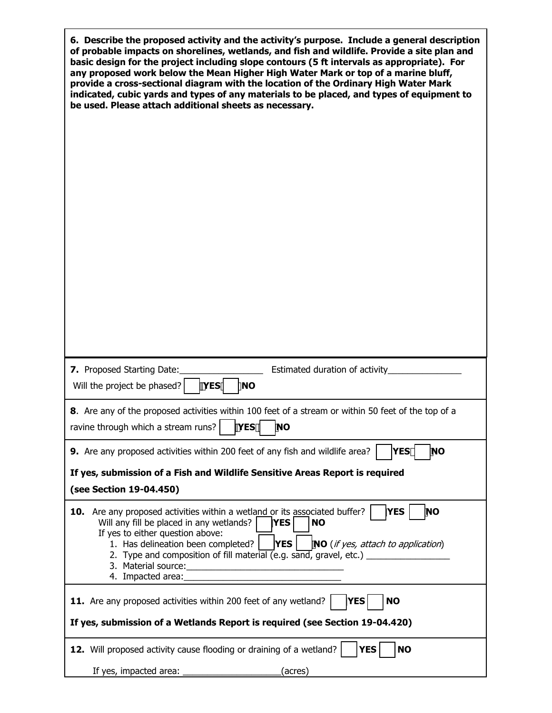| 6. Describe the proposed activity and the activity's purpose. Include a general description<br>of probable impacts on shorelines, wetlands, and fish and wildlife. Provide a site plan and<br>basic design for the project including slope contours (5 ft intervals as appropriate). For<br>any proposed work below the Mean Higher High Water Mark or top of a marine bluff,<br>provide a cross-sectional diagram with the location of the Ordinary High Water Mark<br>indicated, cubic yards and types of any materials to be placed, and types of equipment to<br>be used. Please attach additional sheets as necessary. |
|-----------------------------------------------------------------------------------------------------------------------------------------------------------------------------------------------------------------------------------------------------------------------------------------------------------------------------------------------------------------------------------------------------------------------------------------------------------------------------------------------------------------------------------------------------------------------------------------------------------------------------|
| <b>7.</b> Proposed Starting Date:<br>Estimated duration of activity<br>Will the project be phased?<br><b>YES</b><br><b>NO</b>                                                                                                                                                                                                                                                                                                                                                                                                                                                                                               |
| 8. Are any of the proposed activities within 100 feet of a stream or within 50 feet of the top of a<br><b>NO</b><br><b>YES</b><br>ravine through which a stream runs?                                                                                                                                                                                                                                                                                                                                                                                                                                                       |
| <b>NO</b><br>9. Are any proposed activities within 200 feet of any fish and wildlife area?<br><b>YES</b>                                                                                                                                                                                                                                                                                                                                                                                                                                                                                                                    |
| If yes, submission of a Fish and Wildlife Sensitive Areas Report is required<br>(see Section 19-04.450)                                                                                                                                                                                                                                                                                                                                                                                                                                                                                                                     |
| <b>YES</b><br><b>INO</b><br>10. Are any proposed activities within a wetland or its associated buffer?<br>Will any fill be placed in any wetlands?<br><b>YES</b><br><b>NO</b><br>If yes to either question above:<br>$ {\sf YES} $<br>$NO$ (if yes, attach to application)<br>1. Has delineation been completed?<br>2. Type and composition of fill material (e.g. sand, gravel, etc.) _____________<br>4. Impacted area:                                                                                                                                                                                                   |
| 11. Are any proposed activities within 200 feet of any wetland?<br><b>YES</b><br><b>NO</b><br>If yes, submission of a Wetlands Report is required (see Section 19-04.420)                                                                                                                                                                                                                                                                                                                                                                                                                                                   |
| <b>YES</b><br>12. Will proposed activity cause flooding or draining of a wetland?<br><b>NO</b>                                                                                                                                                                                                                                                                                                                                                                                                                                                                                                                              |
| (acres)<br>If yes, impacted area:                                                                                                                                                                                                                                                                                                                                                                                                                                                                                                                                                                                           |